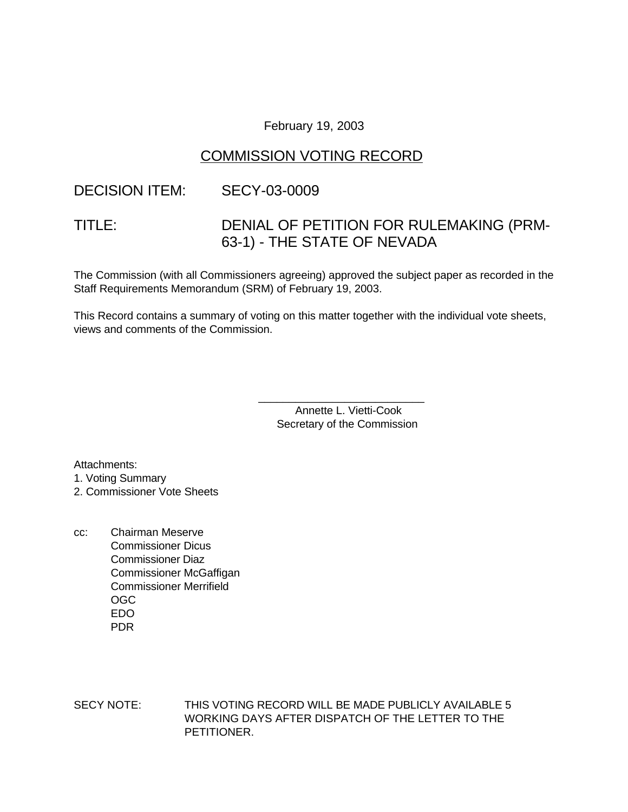#### February 19, 2003

## COMMISSION VOTING RECORD

#### DECISION ITEM: SECY-03-0009

# TITLE: DENIAL OF PETITION FOR RULEMAKING (PRM-63-1) - THE STATE OF NEVADA

The Commission (with all Commissioners agreeing) approved the subject paper as recorded in the Staff Requirements Memorandum (SRM) of February 19, 2003.

This Record contains a summary of voting on this matter together with the individual vote sheets, views and comments of the Commission.

> Annette L. Vietti-Cook Secretary of the Commission

\_\_\_\_\_\_\_\_\_\_\_\_\_\_\_\_\_\_\_\_\_\_\_\_\_\_\_

Attachments:

1. Voting Summary

2. Commissioner Vote Sheets

cc: Chairman Meserve Commissioner Dicus Commissioner Diaz Commissioner McGaffigan Commissioner Merrifield OGC EDO PDR

SECY NOTE: THIS VOTING RECORD WILL BE MADE PUBLICLY AVAILABLE 5 WORKING DAYS AFTER DISPATCH OF THE LETTER TO THE PETITIONER.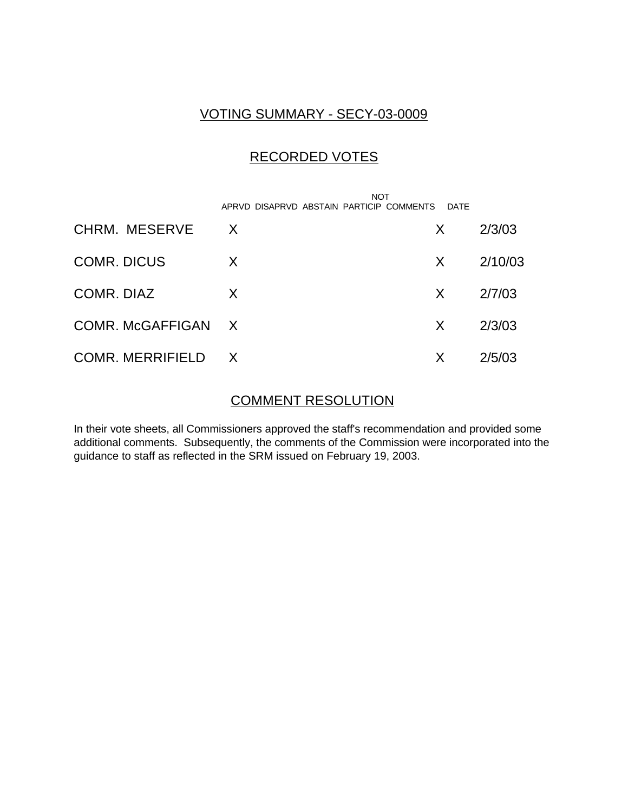### VOTING SUMMARY - SECY-03-0009

# RECORDED VOTES

|                    | <b>NOT</b><br>APRVD DISAPRVD ABSTAIN PARTICIP COMMENTS | <b>DATF</b> |         |
|--------------------|--------------------------------------------------------|-------------|---------|
| CHRM. MESERVE      | $\mathsf{X}$                                           | X.          | 2/3/03  |
| <b>COMR. DICUS</b> | X                                                      | X.          | 2/10/03 |
| COMR. DIAZ         | X                                                      | X.          | 2/7/03  |
| COMR. McGAFFIGAN X |                                                        | X           | 2/3/03  |
| COMR. MERRIFIELD X |                                                        | X           | 2/5/03  |

#### COMMENT RESOLUTION

In their vote sheets, all Commissioners approved the staff's recommendation and provided some additional comments. Subsequently, the comments of the Commission were incorporated into the guidance to staff as reflected in the SRM issued on February 19, 2003.